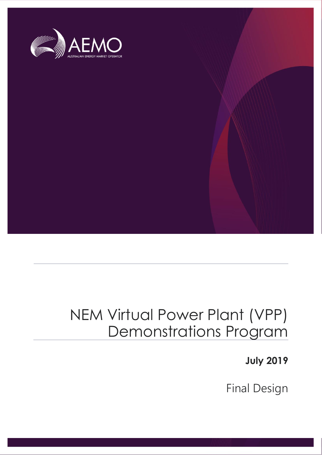

# NEM Virtual Power Plant (VPP) Demonstrations Program

**July 2019**

Final Design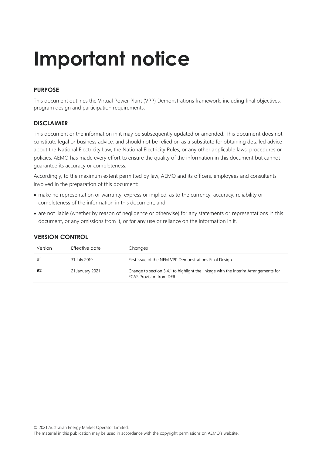# **Important notice**

#### **PURPOSE**

This document outlines the Virtual Power Plant (VPP) Demonstrations framework, including final objectives, program design and participation requirements.

#### **DISCLAIMER**

This document or the information in it may be subsequently updated or amended. This document does not constitute legal or business advice, and should not be relied on as a substitute for obtaining detailed advice about the National Electricity Law, the National Electricity Rules, or any other applicable laws, procedures or policies. AEMO has made every effort to ensure the quality of the information in this document but cannot guarantee its accuracy or completeness.

Accordingly, to the maximum extent permitted by law, AEMO and its officers, employees and consultants involved in the preparation of this document:

- make no representation or warranty, express or implied, as to the currency, accuracy, reliability or completeness of the information in this document; and
- are not liable (whether by reason of negligence or otherwise) for any statements or representations in this document, or any omissions from it, or for any use or reliance on the information in it.

| Version | Effective date  | Changes                                                                                                              |
|---------|-----------------|----------------------------------------------------------------------------------------------------------------------|
| #1      | 31 July 2019    | First issue of the NEM VPP Demonstrations Final Design                                                               |
| #2      | 21 January 2021 | Change to section 3.4.1 to highlight the linkage with the Interim Arrangements for<br><b>FCAS Provision from DER</b> |

#### **VERSION CONTROL**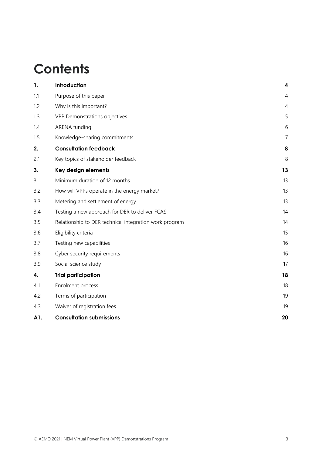# **Contents**

| 1.  | Introduction                                           | $\overline{\mathbf{4}}$ |
|-----|--------------------------------------------------------|-------------------------|
| 1.1 | Purpose of this paper                                  | 4                       |
| 1.2 | Why is this important?                                 | $\overline{4}$          |
| 1.3 | VPP Demonstrations objectives                          | 5                       |
| 1.4 | ARENA funding                                          | 6                       |
| 1.5 | Knowledge-sharing commitments                          | $\overline{7}$          |
| 2.  | <b>Consultation feedback</b>                           | 8                       |
| 2.1 | Key topics of stakeholder feedback                     | 8                       |
| 3.  | Key design elements                                    | 13                      |
| 3.1 | Minimum duration of 12 months                          | 13                      |
| 3.2 | How will VPPs operate in the energy market?            | 13                      |
| 3.3 | Metering and settlement of energy                      | 13                      |
| 3.4 | Testing a new approach for DER to deliver FCAS         | 14                      |
| 3.5 | Relationship to DER technical integration work program | 14                      |
| 3.6 | Eligibility criteria                                   | 15                      |
| 3.7 | Testing new capabilities                               | 16                      |
| 3.8 | Cyber security requirements                            | 16                      |
| 3.9 | Social science study                                   | 17                      |
| 4.  | <b>Trial participation</b>                             | 18                      |
| 4.1 | Enrolment process                                      | 18                      |
| 4.2 | Terms of participation                                 | 19                      |
| 4.3 | Waiver of registration fees                            | 19                      |
| A1. | <b>Consultation submissions</b>                        | 20                      |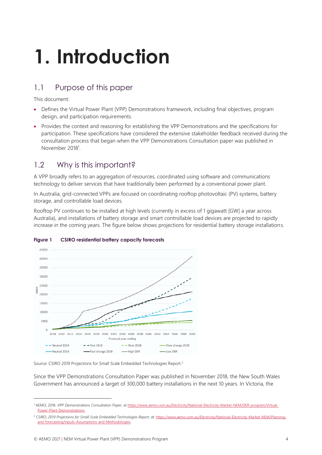# <span id="page-3-0"></span>**1. Introduction**

# <span id="page-3-1"></span>1.1 Purpose of this paper

This document:

- Defines the Virtual Power Plant (VPP) Demonstrations framework, including final objectives, program design, and participation requirements.
- Provides the context and reasoning for establishing the VPP Demonstrations and the specifications for participation. These specifications have considered the extensive stakeholder feedback received during the consultation process that began when the VPP Demonstrations Consultation paper was published in November 2018<sup>1</sup>.

# <span id="page-3-2"></span>1.2 Why is this important?

A VPP broadly refers to an aggregation of resources, coordinated using software and communications technology to deliver services that have traditionally been performed by a conventional power plant.

In Australia, grid-connected VPPs are focused on coordinating rooftop photovoltaic (PV) systems, battery storage, and controllable load devices.

Rooftop PV continues to be installed at high levels (currently in excess of 1 gigawatt [GW] a year across Australia), and installations of battery storage and smart controllable load devices are projected to rapidly increase in the coming years. The figure below shows projections for residential battery storage installations.



#### **Figure 1 CSIRO residential battery capacity forecasts**

Source: CSIRO 2019 Projections for Small Scale Embedded Technologies Report.<sup>2</sup>

Since the VPP Demonstrations Consultation Paper was published in November 2018, the New South Wales Government has announced a target of 300,000 battery installations in the next 10 years. In Victoria, the

<sup>1</sup> AEMO, 2018. *VPP Demonstrations Consultation Paper*, a[t https://www.aemo.com.au/Electricity/National-Electricity-Market-NEM/DER-program/Virtual-](https://www.aemo.com.au/Electricity/National-Electricity-Market-NEM/DER-program/Virtual-Power-Plant-Demonstrations)[Power-Plant-Demonstrations.](https://www.aemo.com.au/Electricity/National-Electricity-Market-NEM/DER-program/Virtual-Power-Plant-Demonstrations) 

<sup>&</sup>lt;sup>2</sup> CSIRO, 2019 Projections for Small Scale Embedded Technologies Report, at[: https://www.aemo.com.au/Electricity/National-Electricity-Market-NEM/Planning](https://www.aemo.com.au/Electricity/National-Electricity-Market-NEM/Planning-and-forecasting/Inputs-Assumptions-and-Methodologies)[and-forecasting/Inputs-Assumptions-and-Methodologies.](https://www.aemo.com.au/Electricity/National-Electricity-Market-NEM/Planning-and-forecasting/Inputs-Assumptions-and-Methodologies)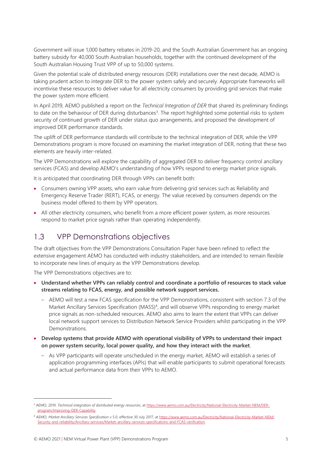Government will issue 1,000 battery rebates in 2019-20, and the South Australian Government has an ongoing battery subsidy for 40,000 South Australian households, together with the continued development of the South Australian Housing Trust VPP of up to 50,000 systems.

Given the potential scale of distributed energy resources (DER) installations over the next decade, AEMO is taking prudent action to integrate DER to the power system safely and securely. Appropriate frameworks will incentivise these resources to deliver value for all electricity consumers by providing grid services that make the power system more efficient.

In April 2019, AEMO published a report on the *Technical Integration of DER* that shared its preliminary findings to date on the behaviour of DER during disturbances<sup>3</sup>. The report highlighted some potential risks to system security of continued growth of DER under status quo arrangements, and proposed the development of improved DER performance standards.

The uplift of DER performance standards will contribute to the technical integration of DER, while the VPP Demonstrations program is more focused on examining the market integration of DER, noting that these two elements are heavily inter-related.

The VPP Demonstrations will explore the capability of aggregated DER to deliver frequency control ancillary services (FCAS) and develop AEMO's understanding of how VPPs respond to energy market price signals.

It is anticipated that coordinating DER through VPPs can benefit both:

- Consumers owning VPP assets, who earn value from delivering grid services such as Reliability and Emergency Reserve Trader (RERT), FCAS, or energy. The value received by consumers depends on the business model offered to them by VPP operators.
- All other electricity consumers, who benefit from a more efficient power system, as more resources respond to market price signals rather than operating independently.

### <span id="page-4-0"></span>1.3 VPP Demonstrations objectives

The draft objectives from the VPP Demonstrations Consultation Paper have been refined to reflect the extensive engagement AEMO has conducted with industry stakeholders, and are intended to remain flexible to incorporate new lines of enquiry as the VPP Demonstrations develop.

The VPP Demonstrations objectives are to:

- **Understand whether VPPs can reliably control and coordinate a portfolio of resources to stack value streams relating to FCAS, energy, and possible network support services.**
	- AEMO will test a new FCAS specification for the VPP Demonstrations, consistent with section 7.3 of the Market Ancillary Services Specification (MASS)<sup>4</sup>, and will observe VPPs responding to energy market price signals as non-scheduled resources. AEMO also aims to learn the extent that VPPs can deliver local network support services to Distribution Network Service Providers whilst participating in the VPP Demonstrations.
- **Develop systems that provide AEMO with operational visibility of VPPs to understand their impact on power system security, local power quality, and how they interact with the market**.
	- As VPP participants will operate unscheduled in the energy market, AEMO will establish a series of application programming interfaces (APIs) that will enable participants to submit operational forecasts and actual performance data from their VPPs to AEMO.

<sup>3</sup> AEMO, 2019. *Technical integration of distributed energy resources*, a[t https://www.aemo.com.au/Electricity/National-Electricity-Market-NEM/DER](https://www.aemo.com.au/Electricity/National-Electricity-Market-NEM/DER-program/Improving-DER-Capability)[program/Improving-DER-Capability.](https://www.aemo.com.au/Electricity/National-Electricity-Market-NEM/DER-program/Improving-DER-Capability)

<sup>4</sup> AEMO, *Market Ancillary Services Specification* v 5.0, effective 30 July 2017, a[t https://www.aemo.com.au/Electricity/National-Electricity-Market-NEM/](https://www.aemo.com.au/Electricity/National-Electricity-Market-NEM/Security-and-reliability/Ancillary-services/Market-ancillary-services-specifications-and-FCAS-verification) [Security-and-reliability/Ancillary-services/Market-ancillary-services-specifications-and-FCAS-verification.](https://www.aemo.com.au/Electricity/National-Electricity-Market-NEM/Security-and-reliability/Ancillary-services/Market-ancillary-services-specifications-and-FCAS-verification)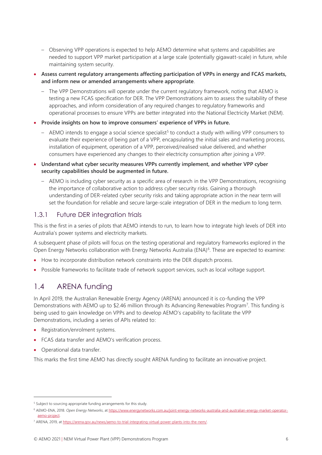- Observing VPP operations is expected to help AEMO determine what systems and capabilities are needed to support VPP market participation at a large scale (potentially gigawatt-scale) in future, while maintaining system security.
- **Assess current regulatory arrangements affecting participation of VPPs in energy and FCAS markets, and inform new or amended arrangements where appropriate**.
	- The VPP Demonstrations will operate under the current regulatory framework, noting that AEMO is testing a new FCAS specification for DER. The VPP Demonstrations aim to assess the suitability of these approaches, and inform consideration of any required changes to regulatory frameworks and operational processes to ensure VPPs are better integrated into the National Electricity Market (NEM).
- **Provide insights on how to improve consumers' experience of VPPs in future.**
	- $-$  AEMO intends to engage a social science specialist<sup>5</sup> to conduct a study with willing VPP consumers to evaluate their experience of being part of a VPP, encapsulating the initial sales and marketing process, installation of equipment, operation of a VPP, perceived/realised value delivered, and whether consumers have experienced any changes to their electricity consumption after joining a VPP.
- **Understand what cyber security measures VPPs currently implement, and whether VPP cyber security capabilities should be augmented in future.**
	- AEMO is including cyber security as a specific area of research in the VPP Demonstrations, recognising the importance of collaborative action to address cyber security risks. Gaining a thorough understanding of DER-related cyber security risks and taking appropriate action in the near term will set the foundation for reliable and secure large-scale integration of DER in the medium to long term.

#### 1.3.1 Future DER integration trials

This is the first in a series of pilots that AEMO intends to run, to learn how to integrate high levels of DER into Australia's power systems and electricity markets.

A subsequent phase of pilots will focus on the testing operational and regulatory frameworks explored in the Open Energy Networks collaboration with Energy Networks Australia (ENA)<sup>6</sup>. These are expected to examine:

- How to incorporate distribution network constraints into the DER dispatch process.
- Possible frameworks to facilitate trade of network support services, such as local voltage support.

### <span id="page-5-0"></span>1.4 ARENA funding

In April 2019, the Australian Renewable Energy Agency (ARENA) announced it is co-funding the VPP Demonstrations with AEMO up to \$2.46 million through its Advancing Renewables Program<sup>7</sup>. This funding is being used to gain knowledge on VPPs and to develop AEMO's capability to facilitate the VPP Demonstrations, including a series of APIs related to:

- Registration/enrolment systems.
- FCAS data transfer and AEMO's verification process.
- Operational data transfer.

This marks the first time AEMO has directly sought ARENA funding to facilitate an innovative project.

<sup>&</sup>lt;sup>5</sup> Subject to sourcing appropriate funding arrangements for this study.

<sup>6</sup> AEMO-ENA, 2018. *Open Energy Networks*, a[t https://www.energynetworks.com.au/joint-energy-networks-australia-and-australian-energy-market-operator](https://www.energynetworks.com.au/joint-energy-networks-australia-and-australian-energy-market-operator-aemo-project)[aemo-project.](https://www.energynetworks.com.au/joint-energy-networks-australia-and-australian-energy-market-operator-aemo-project) 

<sup>7</sup> ARENA, 2019, a[t https://arena.gov.au/news/aemo-to-trial-integrating-virtual-power-plants-into-the-nem/.](https://arena.gov.au/news/aemo-to-trial-integrating-virtual-power-plants-into-the-nem/)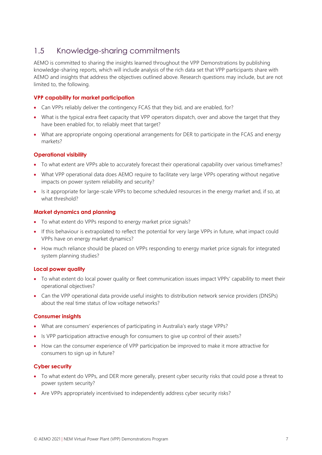### <span id="page-6-0"></span>1.5 Knowledge-sharing commitments

AEMO is committed to sharing the insights learned throughout the VPP Demonstrations by publishing knowledge-sharing reports, which will include analysis of the rich data set that VPP participants share with AEMO and insights that address the objectives outlined above. Research questions may include, but are not limited to, the following.

#### **VPP capability for market participation**

- Can VPPs reliably deliver the contingency FCAS that they bid, and are enabled, for?
- What is the typical extra fleet capacity that VPP operators dispatch, over and above the target that they have been enabled for, to reliably meet that target?
- What are appropriate ongoing operational arrangements for DER to participate in the FCAS and energy markets?

#### **Operational visibility**

- To what extent are VPPs able to accurately forecast their operational capability over various timeframes?
- What VPP operational data does AEMO require to facilitate very large VPPs operating without negative impacts on power system reliability and security?
- Is it appropriate for large-scale VPPs to become scheduled resources in the energy market and, if so, at what threshold?

#### **Market dynamics and planning**

- To what extent do VPPs respond to energy market price signals?
- If this behaviour is extrapolated to reflect the potential for very large VPPs in future, what impact could VPPs have on energy market dynamics?
- How much reliance should be placed on VPPs responding to energy market price signals for integrated system planning studies?

#### **Local power quality**

- To what extent do local power quality or fleet communication issues impact VPPs' capability to meet their operational objectives?
- Can the VPP operational data provide useful insights to distribution network service providers (DNSPs) about the real time status of low voltage networks?

#### **Consumer insights**

- What are consumers' experiences of participating in Australia's early stage VPPs?
- Is VPP participation attractive enough for consumers to give up control of their assets?
- How can the consumer experience of VPP participation be improved to make it more attractive for consumers to sign up in future?

#### **Cyber security**

- To what extent do VPPs, and DER more generally, present cyber security risks that could pose a threat to power system security?
- Are VPPs appropriately incentivised to independently address cyber security risks?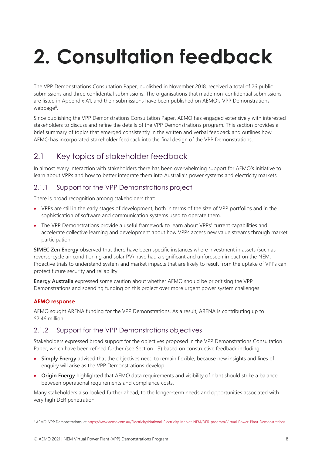# <span id="page-7-0"></span>**2. Consultation feedback**

The VPP Demonstrations Consultation Paper, published in November 2018, received a total of 26 public submissions and three confidential submissions. The organisations that made non-confidential submissions are listed in Appendix [A1,](#page-19-0) and their submissions have been published on AEMO's VPP Demonstrations webpage<sup>8</sup>.

Since publishing the VPP Demonstrations Consultation Paper, AEMO has engaged extensively with interested stakeholders to discuss and refine the details of the VPP Demonstrations program. This section provides a brief summary of topics that emerged consistently in the written and verbal feedback and outlines how AEMO has incorporated stakeholder feedback into the final design of the VPP Demonstrations.

# <span id="page-7-1"></span>2.1 Key topics of stakeholder feedback

In almost every interaction with stakeholders there has been overwhelming support for AEMO's initiative to learn about VPPs and how to better integrate them into Australia's power systems and electricity markets.

#### 2.1.1 Support for the VPP Demonstrations project

There is broad recognition among stakeholders that:

- VPPs are still in the early stages of development, both in terms of the size of VPP portfolios and in the sophistication of software and communication systems used to operate them.
- The VPP Demonstrations provide a useful framework to learn about VPPs' current capabilities and accelerate collective learning and development about how VPPs access new value streams through market participation.

**SIMEC Zen Energy** observed that there have been specific instances where investment in assets (such as reverse-cycle air conditioning and solar PV) have had a significant and unforeseen impact on the NEM. Proactive trials to understand system and market impacts that are likely to result from the uptake of VPPs can protect future security and reliability.

**Energy Australia** expressed some caution about whether AEMO should be prioritising the VPP Demonstrations and spending funding on this project over more urgent power system challenges.

#### **AEMO response**

AEMO sought ARENA funding for the VPP Demonstrations. As a result, ARENA is contributing up to \$2.46 million.

#### 2.1.2 Support for the VPP Demonstrations objectives

Stakeholders expressed broad support for the objectives proposed in the VPP Demonstrations Consultation Paper, which have been refined further (see Section [1.3\)](#page-4-0) based on constructive feedback including:

- **Simply Energy** advised that the objectives need to remain flexible, because new insights and lines of enquiry will arise as the VPP Demonstrations develop.
- **Origin Energy** highlighted that AEMO data requirements and visibility of plant should strike a balance between operational requirements and compliance costs.

Many stakeholders also looked further ahead, to the longer-term needs and opportunities associated with very high DER penetration.

<sup>8</sup> AEMO. VPP Demonstrations, a[t https://www.aemo.com.au/Electricity/National-Electricity-Market-NEM/DER-program/Virtual-Power-Plant-Demonstrations.](https://www.aemo.com.au/Electricity/National-Electricity-Market-NEM/DER-program/Virtual-Power-Plant-Demonstrations)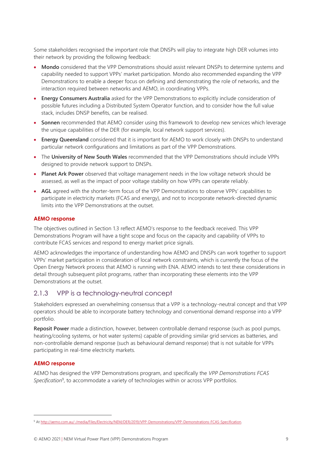Some stakeholders recognised the important role that DNSPs will play to integrate high DER volumes into their network by providing the following feedback:

- **Mondo** considered that the VPP Demonstrations should assist relevant DNSPs to determine systems and capability needed to support VPPs' market participation. Mondo also recommended expanding the VPP Demonstrations to enable a deeper focus on defining and demonstrating the role of networks, and the interaction required between networks and AEMO, in coordinating VPPs.
- **Energy Consumers Australia** asked for the VPP Demonstrations to explicitly include consideration of possible futures including a Distributed System Operator function, and to consider how the full value stack, includes DNSP benefits, can be realised.
- **Sonnen** recommended that AEMO consider using this framework to develop new services which leverage the unique capabilities of the DER (for example, local network support services).
- **Energy Queensland** considered that it is important for AEMO to work closely with DNSPs to understand particular network configurations and limitations as part of the VPP Demonstrations.
- The **University of New South Wales** recommended that the VPP Demonstrations should include VPPs designed to provide network support to DNSPs.
- **Planet Ark Power** observed that voltage management needs in the low voltage network should be assessed, as well as the impact of poor voltage stability on how VPPs can operate reliably.
- **AGL** agreed with the shorter-term focus of the VPP Demonstrations to observe VPPs' capabilities to participate in electricity markets (FCAS and energy), and not to incorporate network-directed dynamic limits into the VPP Demonstrations at the outset.

#### **AEMO response**

The objectives outlined in Section [1.3](#page-4-0) reflect AEMO's response to the feedback received. This VPP Demonstrations Program will have a tight scope and focus on the capacity and capability of VPPs to contribute FCAS services and respond to energy market price signals.

AEMO acknowledges the importance of understanding how AEMO and DNSPs can work together to support VPPs' market participation in consideration of local network constraints, which is currently the focus of the Open Energy Network process that AEMO is running with ENA. AEMO intends to test these considerations in detail through subsequent pilot programs, rather than incorporating these elements into the VPP Demonstrations at the outset.

#### 2.1.3 VPP is a technology-neutral concept

Stakeholders expressed an overwhelming consensus that a VPP is a technology-neutral concept and that VPP operators should be able to incorporate battery technology and conventional demand response into a VPP portfolio.

**Reposit Power** made a distinction, however, between controllable demand response (such as pool pumps, heating/cooling systems, or hot water systems) capable of providing similar grid services as batteries, and non-controllable demand response (such as behavioural demand response) that is not suitable for VPPs participating in real-time electricity markets.

#### **AEMO response**

AEMO has designed the VPP Demonstrations program, and specifically the *VPP Demonstrations FCAS*  Specification<sup>9</sup>, to accommodate a variety of technologies within or across VPP portfolios.

<sup>9</sup> A[t http://aemo.com.au/-/media/Files/Electricity/NEM/DER/2019/VPP-Demonstrations/VPP-Demonstrations-FCAS-Specification.](http://aemo.com.au/-/media/Files/Electricity/NEM/DER/2019/VPP-Demonstrations/VPP-Demonstrations-FCAS-Specification)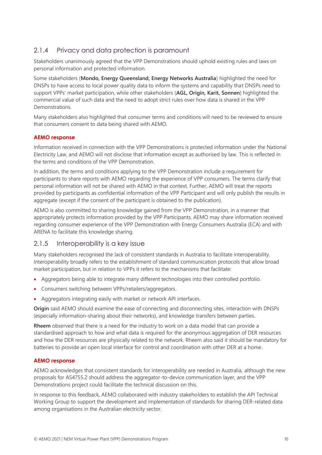#### 2.1.4 Privacy and data protection is paramount

Stakeholders unanimously agreed that the VPP Demonstrations should uphold existing rules and laws on personal information and protected information.

Some stakeholders (**Mondo, Energy Queensland, Energy Networks Australia**) highlighted the need for DNSPs to have access to local power quality data to inform the systems and capability that DNSPs need to support VPPs' market participation, while other stakeholders (**AGL, Origin, Karit, Sonnen**) highlighted the commercial value of such data and the need to adopt strict rules over how data is shared in the VPP **Demonstrations** 

Many stakeholders also highlighted that consumer terms and conditions will need to be reviewed to ensure that consumers consent to data being shared with AEMO.

#### **AEMO response**

Information received in connection with the VPP Demonstrations is protected information under the National Electricity Law, and AEMO will not disclose that information except as authorised by law. This is reflected in the terms and conditions of the VPP Demonstration.

In addition, the terms and conditions applying to the VPP Demonstration include a requirement for participants to share reports with AEMO regarding the experience of VPP consumers. The terms clarify that personal information will not be shared with AEMO in that context. Further, AEMO will treat the reports provided by participants as confidential information of the VPP Participant and will only publish the results in aggregate (except if the consent of the participant is obtained to the publication).

AEMO is also committed to sharing knowledge gained from the VPP Demonstration, in a manner that appropriately protects information provided by the VPP Participants. AEMO may share information received regarding consumer experience of the VPP Demonstration with Energy Consumers Australia (ECA) and with ARENA to facilitate this knowledge sharing.

#### 2.1.5 Interoperability is a key issue

Many stakeholders recognised the lack of consistent standards in Australia to facilitate interoperability. Interoperability broadly refers to the establishment of standard communication protocols that allow broad market participation, but in relation to VPPs it refers to the mechanisms that facilitate:

- Aggregators being able to integrate many different technologies into their controlled portfolio.
- Consumers switching between VPPs/retailers/aggregators.
- Aggregators integrating easily with market or network API interfaces.

**Origin** said AEMO should examine the ease of connecting and disconnecting sites, interaction with DNSPs (especially information-sharing about their networks), and knowledge transfers between parties.

**Rheem** observed that there is a need for the industry to work on a data model that can provide a standardised approach to how and what data is required for the anonymous aggregation of DER resources and how the DER resources are physically related to the network. Rheem also said it should be mandatory for batteries to provide an open local interface for control and coordination with other DER at a home.

#### **AEMO response**

AEMO acknowledges that consistent standards for interoperability are needed in Australia, although the new proposals for AS4755.2 should address the aggregator-to-device communication layer, and the VPP Demonstrations project could facilitate the technical discussion on this.

In response to this feedback, AEMO collaborated with industry stakeholders to establish the API Technical Working Group to support the development and implementation of standards for sharing DER-related data among organisations in the Australian electricity sector.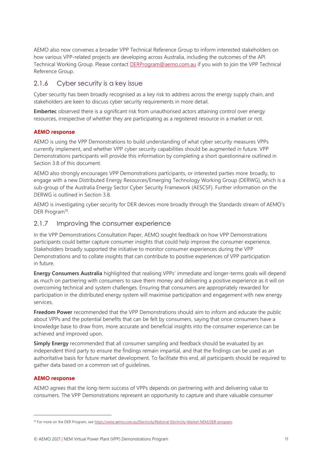AEMO also now convenes a broader VPP Technical Reference Group to inform interested stakeholders on how various VPP-related projects are developing across Australia, including the outcomes of the API Technical Working Group. Please contact [DERProgram@aemo.com.au](mailto:DERProgram@aemo.com.au) if you wish to join the VPP Technical Reference Group.

#### 2.1.6 Cyber security is a key issue

Cyber security has been broadly recognised as a key risk to address across the energy supply chain, and stakeholders are keen to discuss cyber security requirements in more detail.

**Embertec** observed there is a significant risk from unauthorised actors attaining control over energy resources, irrespective of whether they are participating as a registered resource in a market or not.

#### **AEMO response**

AEMO is using the VPP Demonstrations to build understanding of what cyber security measures VPPs currently implement, and whether VPP cyber security capabilities should be augmented in future. VPP Demonstrations participants will provide this information by completing a short questionnaire outlined in Section [3.8](#page-15-1) of this document.

AEMO also strongly encourages VPP Demonstrations participants, or interested parties more broadly, to engage with a new Distributed Energy Resources/Emerging Technology Working Group (DERWG), which is a sub-group of the Australia Energy Sector Cyber Security Framework (AESCSF). Further information on the DERWG is outlined in Section [3.8.](#page-15-1)

AEMO is investigating cyber security for DER devices more broadly through the Standards stream of AEMO's DER Program<sup>10</sup>.

#### <span id="page-10-0"></span>2.1.7 Improving the consumer experience

In the VPP Demonstrations Consultation Paper, AEMO sought feedback on how VPP Demonstrations participants could better capture consumer insights that could help improve the consumer experience. Stakeholders broadly supported the initiative to monitor consumer experiences during the VPP Demonstrations and to collate insights that can contribute to positive experiences of VPP participation in future.

**Energy Consumers Australia** highlighted that realising VPPs' immediate and longer-terms goals will depend as much on partnering with consumers to save them money and delivering a positive experience as it will on overcoming technical and system challenges. Ensuring that consumers are appropriately rewarded for participation in the distributed energy system will maximise participation and engagement with new energy services.

**Freedom Power** recommended that the VPP Demonstrations should aim to inform and educate the public about VPPs and the potential benefits that can be felt by consumers, saying that once consumers have a knowledge base to draw from, more accurate and beneficial insights into the consumer experience can be achieved and improved upon.

**Simply Energy** recommended that all consumer sampling and feedback should be evaluated by an independent third party to ensure the findings remain impartial, and that the findings can be used as an authoritative basis for future market development. To facilitate this end, all participants should be required to gather data based on a common set of guidelines.

#### **AEMO response**

AEMO agrees that the long-term success of VPPs depends on partnering with and delivering value to consumers. The VPP Demonstrations represent an opportunity to capture and share valuable consumer

<sup>&</sup>lt;sup>10</sup> For more on the DER Program, see [https://www.aemo.com.au/Electricity/National-Electricity-Market-NEM/DER-program.](https://www.aemo.com.au/Electricity/National-Electricity-Market-NEM/DER-program)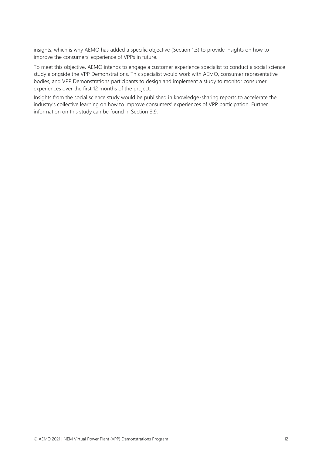insights, which is why AEMO has added a specific objective (Section [1.3\)](#page-4-0) to provide insights on how to improve the consumers' experience of VPPs in future.

To meet this objective, AEMO intends to engage a customer experience specialist to conduct a social science study alongside the VPP Demonstrations. This specialist would work with AEMO, consumer representative bodies, and VPP Demonstrations participants to design and implement a study to monitor consumer experiences over the first 12 months of the project.

Insights from the social science study would be published in knowledge-sharing reports to accelerate the industry's collective learning on how to improve consumers' experiences of VPP participation. Further information on this study can be found in Section [3.9.](#page-16-0)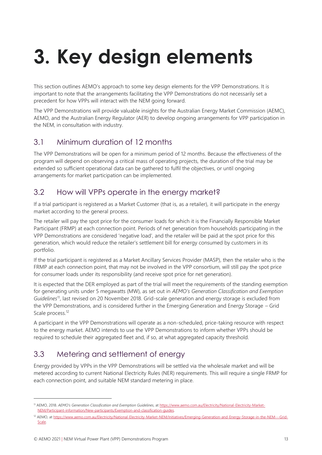# <span id="page-12-0"></span>**3. Key design elements**

This section outlines AEMO's approach to some key design elements for the VPP Demonstrations. It is important to note that the arrangements facilitating the VPP Demonstrations do not necessarily set a precedent for how VPPs will interact with the NEM going forward.

The VPP Demonstrations will provide valuable insights for the Australian Energy Market Commission (AEMC), AEMO, and the Australian Energy Regulator (AER) to develop ongoing arrangements for VPP participation in the NEM, in consultation with industry.

# <span id="page-12-1"></span>3.1 Minimum duration of 12 months

The VPP Demonstrations will be open for a minimum period of 12 months. Because the effectiveness of the program will depend on observing a critical mass of operating projects, the duration of the trial may be extended so sufficient operational data can be gathered to fulfil the objectives, or until ongoing arrangements for market participation can be implemented.

# <span id="page-12-2"></span>3.2 How will VPPs operate in the energy market?

If a trial participant is registered as a Market Customer (that is, as a retailer), it will participate in the energy market according to the general process.

The retailer will pay the spot price for the consumer loads for which it is the Financially Responsible Market Participant (FRMP) at each connection point. Periods of net generation from households participating in the VPP Demonstrations are considered 'negative load', and the retailer will be paid at the spot price for this generation, which would reduce the retailer's settlement bill for energy consumed by customers in its portfolio.

If the trial participant is registered as a Market Ancillary Services Provider (MASP), then the retailer who is the FRMP at each connection point, that may not be involved in the VPP consortium, will still pay the spot price for consumer loads under its responsibility (and receive spot price for net generation).

It is expected that the DER employed as part of the trial will meet the requirements of the standing exemption for generating units under 5 megawatts (MW), as set out in *AEMO's Generation Classification and Exemption Guidelines*<sup>11</sup>, last revised on 20 November 2018. Grid-scale generation and energy storage is excluded from the VPP Demonstrations, and is considered further in the Emerging Generation and Energy Storage – Grid Scale process.<sup>12</sup>

A participant in the VPP Demonstrations will operate as a non-scheduled, price-taking resource with respect to the energy market. AEMO intends to use the VPP Demonstrations to inform whether VPPs should be required to schedule their aggregated fleet and, if so, at what aggregated capacity threshold.

# <span id="page-12-3"></span>3.3 Metering and settlement of energy

Energy provided by VPPs in the VPP Demonstrations will be settled via the wholesale market and will be metered according to current National Electricity Rules (NER) requirements. This will require a single FRMP for each connection point, and suitable NEM standard metering in place.

<sup>11</sup> AEMO, 2018. *AEMO's Generation Classification and Exemption Guidelines*, at [https://www.aemo.com.au/Electricity/National-Electricity-Market-](https://www.aemo.com.au/Electricity/National-Electricity-Market-NEM/Participant-information/New-participants/Exemption-and-classification-guides)[NEM/Participant-information/New-participants/Exemption-and-classification-guides.](https://www.aemo.com.au/Electricity/National-Electricity-Market-NEM/Participant-information/New-participants/Exemption-and-classification-guides) 

<sup>12</sup> AEMO, at [https://www.aemo.com.au/Electricity/National-Electricity-Market-NEM/Initiatives/Emerging-Generation-and-Energy-Storage-in-the-NEM---Grid-](https://www.aemo.com.au/Electricity/National-Electricity-Market-NEM/Initiatives/Emerging-Generation-and-Energy-Storage-in-the-NEM---Grid-Scale)[Scale.](https://www.aemo.com.au/Electricity/National-Electricity-Market-NEM/Initiatives/Emerging-Generation-and-Energy-Storage-in-the-NEM---Grid-Scale)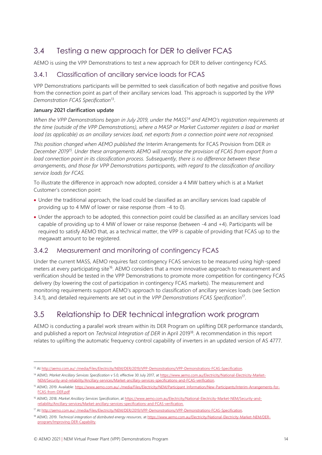# <span id="page-13-0"></span>3.4 Testing a new approach for DER to deliver FCAS

AEMO is using the VPP Demonstrations to test a new approach for DER to deliver contingency FCAS.

#### 3.4.1 Classification of ancillary service loads for FCAS

VPP Demonstrations participants will be permitted to seek classification of both negative and positive flows from the connection point as part of their ancillary services load. This approach is supported by the *VPP Demonstration FCAS Specification*<sup>13</sup> .

#### **January 2021 clarification update**

*When the VPP Demonstrations began in July 2019, under the MASS<sup>14</sup> and AEMO's registration requirements at the time (outside of the VPP Demonstrations), where a MASP or Market Customer registers a load or market load (as applicable) as an ancillary services load, net exports from a connection point were not recognised.* 

*This position changed when AEMO published the* Interim Arrangements for FCAS Provision from DER *in December 2019<sup>15</sup> . Under these arrangements AEMO will recognise the provision of FCAS from export from a load connection point in its classification process. Subsequently, there is no difference between these arrangements, and those for VPP Demonstrations participants, with regard to the classification of ancillary service loads for FCAS.* 

To illustrate the difference in approach now adopted, consider a 4 MW battery which is at a Market Customer's connection point:

- Under the traditional approach, the load could be classified as an ancillary services load capable of providing up to 4 MW of lower or raise response (from -4 to 0).
- Under the approach to be adopted, this connection point could be classified as an ancillary services load capable of providing up to 4 MW of lower or raise response (between -4 and +4). Participants will be required to satisfy AEMO that, as a technical matter, the VPP is capable of providing that FCAS up to the megawatt amount to be registered.

#### 3.4.2 Measurement and monitoring of contingency FCAS

Under the current MASS, AEMO requires fast contingency FCAS services to be measured using high-speed meters at every participating site<sup>16</sup>. AEMO considers that a more innovative approach to measurement and verification should be tested in the VPP Demonstrations to promote more competition for contingency FCAS delivery (by lowering the cost of participation in contingency FCAS markets). The measurement and monitoring requirements support AEMO's approach to classification of ancillary services loads (see Section 3.4.1), and detailed requirements are set out in the *VPP Demonstrations FCAS Specification*<sup>17</sup> .

# <span id="page-13-1"></span>3.5 Relationship to DER technical integration work program

AEMO is conducting a parallel work stream within its DER Program on uplifting DER performance standards, and published a report on *Technical Integration of DER* in April 2019<sup>18</sup>. A recommendation in this report relates to uplifting the automatic frequency control capability of inverters in an updated version of AS 4777.

<sup>13</sup> A[t http://aemo.com.au/-/media/Files/Electricity/NEM/DER/2019/VPP-Demonstrations/VPP-Demonstrations-FCAS-Specification.](http://aemo.com.au/-/media/Files/Electricity/NEM/DER/2019/VPP-Demonstrations/VPP-Demonstrations-FCAS-Specification)

<sup>&</sup>lt;sup>14</sup> AEMO, Market Ancillary Services Specification v 5.0, effective 30 July 2017, a[t https://www.aemo.com.au/Electricity/National-Electricity-Market-](https://www.aemo.com.au/Electricity/National-Electricity-Market-NEM/Security-and-reliability/Ancillary-services/Market-ancillary-services-specifications-and-FCAS-verification)[NEM/Security-and-reliability/Ancillary-services/Market-ancillary-services-specifications-and-FCAS-verification.](https://www.aemo.com.au/Electricity/National-Electricity-Market-NEM/Security-and-reliability/Ancillary-services/Market-ancillary-services-specifications-and-FCAS-verification)

<sup>15</sup> AEMO, 2019. Available[: https://www.aemo.com.au/-/media/Files/Electricity/NEM/Participant\\_Information/New-Participants/Interim-Arrangements-for-](https://www.aemo.com.au/-/media/Files/Electricity/NEM/Participant_Information/New-Participants/Interim-Arrangements-for-FCAS-from-DER.pdf)[FCAS-from-DER.pdf](https://www.aemo.com.au/-/media/Files/Electricity/NEM/Participant_Information/New-Participants/Interim-Arrangements-for-FCAS-from-DER.pdf)

<sup>&</sup>lt;sup>16</sup> AEMO, 2018. Market Ancillary Services Specification, at [https://www.aemo.com.au/Electricity/National-Electricity-Market-NEM/Security-and](https://www.aemo.com.au/Electricity/National-Electricity-Market-NEM/Security-and-reliability/Ancillary-services/Market-ancillary-services-specifications-and-FCAS-verification)[reliability/Ancillary-services/Market-ancillary-services-specifications-and-FCAS-verification.](https://www.aemo.com.au/Electricity/National-Electricity-Market-NEM/Security-and-reliability/Ancillary-services/Market-ancillary-services-specifications-and-FCAS-verification) 

<sup>17</sup> At [http://aemo.com.au/-/media/Files/Electricity/NEM/DER/2019/VPP-Demonstrations/VPP-Demonstrations-FCAS-Specification.](http://aemo.com.au/-/media/Files/Electricity/NEM/DER/2019/VPP-Demonstrations/VPP-Demonstrations-FCAS-Specification)

<sup>18</sup> AEMO, 2019. *Technical integration of distributed energy resources*, a[t https://www.aemo.com.au/Electricity/National-Electricity-Market-NEM/DER](https://www.aemo.com.au/Electricity/National-Electricity-Market-NEM/DER-program/Improving-DER-Capability)[program/Improving-DER-Capability.](https://www.aemo.com.au/Electricity/National-Electricity-Market-NEM/DER-program/Improving-DER-Capability)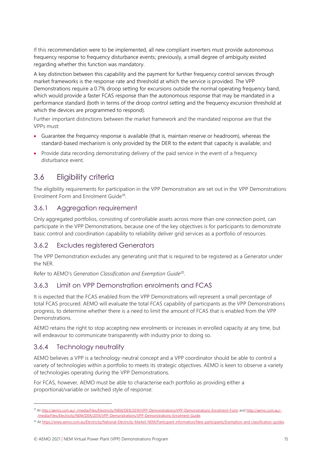If this recommendation were to be implemented, all new compliant inverters must provide autonomous frequency response to frequency disturbance events; previously, a small degree of ambiguity existed regarding whether this function was mandatory.

A key distinction between this capability and the payment for further frequency control services through market frameworks is the response rate and threshold at which the service is provided. The VPP Demonstrations require a 0.7% droop setting for excursions outside the normal operating frequency band, which would provide a faster FCAS response than the autonomous response that may be mandated in a performance standard (both in terms of the droop control setting and the frequency excursion threshold at which the devices are programmed to respond).

Further important distinctions between the market framework and the mandated response are that the VPPs must:

- Guarantee the frequency response is available (that is, maintain reserve or headroom), whereas the standard-based mechanism is only provided by the DER to the extent that capacity is available; and
- Provide data recording demonstrating delivery of the paid service in the event of a frequency disturbance event.

# <span id="page-14-0"></span>3.6 Eligibility criteria

The eligibility requirements for participation in the VPP Demonstration are set out in the VPP Demonstrations Enrolment Form and Enrolment Guide<sup>19</sup>.

#### 3.6.1 Aggregation requirement

Only aggregated portfolios, consisting of controllable assets across more than one connection point, can participate in the VPP Demonstrations, because one of the key objectives is for participants to demonstrate basic control and coordination capability to reliability deliver grid services as a portfolio of resources.

#### 3.6.2 Excludes registered Generators

The VPP Demonstration excludes any generating unit that is required to be registered as a Generator under the NER.

Refer to AEMO's *Generation Classification and Exemption Guide 20* .

#### 3.6.3 Limit on VPP Demonstration enrolments and FCAS

It is expected that the FCAS enabled from the VPP Demonstrations will represent a small percentage of total FCAS procured. AEMO will evaluate the total FCAS capability of participants as the VPP Demonstrations progress, to determine whether there is a need to limit the amount of FCAS that is enabled from the VPP Demonstrations.

AEMO retains the right to stop accepting new enrolments or increases in enrolled capacity at any time, but will endeavour to communicate transparently with industry prior to doing so.

#### 3.6.4 Technology neutrality

AEMO believes a VPP is a technology-neutral concept and a VPP coordinator should be able to control a variety of technologies within a portfolio to meets its strategic objectives. AEMO is keen to observe a variety of technologies operating during the VPP Demonstrations.

For FCAS, however, AEMO must be able to characterise each portfolio as providing either a proportional/variable or switched style of response:

<sup>19</sup> A[t http://aemo.com.au/-/media/Files/Electricity/NEM/DER/2019/VPP-Demonstrations/VPP-Demonstrations-Enrolment-Form](http://aemo.com.au/-/media/Files/Electricity/NEM/DER/2019/VPP-Demonstrations/VPP-Demonstrations-Enrolment-Form) and [http://aemo.com.au/-](http://aemo.com.au/-/media/Files/Electricity/NEM/DER/2019/VPP-Demonstrations/VPP-Demonstrations-Enrolment-Guide) [/media/Files/Electricity/NEM/DER/2019/VPP-Demonstrations/VPP-Demonstrations-Enrolment-Guide.](http://aemo.com.au/-/media/Files/Electricity/NEM/DER/2019/VPP-Demonstrations/VPP-Demonstrations-Enrolment-Guide)

<sup>&</sup>lt;sup>20</sup> At https://www.aemo.com.au/Electricity/National-Electricity-Market-NEM/Participant-information/New-participants/Exemption-and-classification-quides.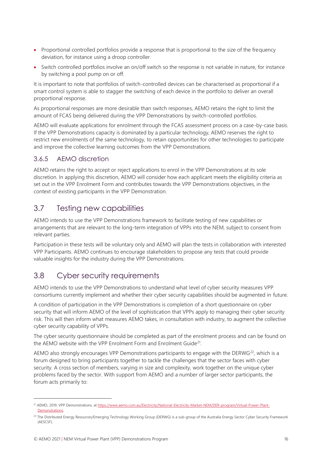- Proportional controlled portfolios provide a response that is proportional to the size of the frequency deviation, for instance using a droop controller.
- Switch controlled portfolios involve an on/off switch so the response is not variable in nature, for instance by switching a pool pump on or off.

It is important to note that portfolios of switch-controlled devices can be characterised as proportional if a smart control system is able to stagger the switching of each device in the portfolio to deliver an overall proportional response.

As proportional responses are more desirable than switch responses, AEMO retains the right to limit the amount of FCAS being delivered during the VPP Demonstrations by switch-controlled portfolios.

AEMO will evaluate applications for enrolment through the FCAS assessment process on a case-by-case basis. If the VPP Demonstrations capacity is dominated by a particular technology, AEMO reserves the right to restrict new enrolments of the same technology, to retain opportunities for other technologies to participate and improve the collective learning outcomes from the VPP Demonstrations.

#### 3.6.5 AEMO discretion

AEMO retains the right to accept or reject applications to enrol in the VPP Demonstrations at its sole discretion. In applying this discretion, AEMO will consider how each applicant meets the eligibility criteria as set out in the VPP Enrolment Form and contributes towards the VPP Demonstrations objectives, in the context of existing participants in the VPP Demonstration.

### <span id="page-15-0"></span>3.7 Testing new capabilities

AEMO intends to use the VPP Demonstrations framework to facilitate testing of new capabilities or arrangements that are relevant to the long-term integration of VPPs into the NEM, subject to consent from relevant parties.

Participation in these tests will be voluntary only and AEMO will plan the tests in collaboration with interested VPP Participants. AEMO continues to encourage stakeholders to propose any tests that could provide valuable insights for the industry during the VPP Demonstrations.

# <span id="page-15-1"></span>3.8 Cyber security requirements

AEMO intends to use the VPP Demonstrations to understand what level of cyber security measures VPP consortiums currently implement and whether their cyber security capabilities should be augmented in future.

A condition of participation in the VPP Demonstrations is completion of a short questionnaire on cyber security that will inform AEMO of the level of sophistication that VPPs apply to managing their cyber security risk. This will then inform what measures AEMO takes, in consultation with industry, to augment the collective cyber security capability of VPPs.

The cyber security questionnaire should be completed as part of the enrolment process and can be found on the AEMO website with the VPP Enrolment Form and Enrolment Guide<sup>21</sup>.

AEMO also strongly encourages VPP Demonstrations participants to engage with the DERWG<sup>22</sup>, which is a forum designed to bring participants together to tackle the challenges that the sector faces with cyber security. A cross section of members, varying in size and complexity, work together on the unique cyber problems faced by the sector. With support from AEMO and a number of larger sector participants, the forum acts primarily to:

<sup>&</sup>lt;sup>21</sup> AEMO, 2019. VPP Demonstrations, at [https://www.aemo.com.au/Electricity/National-Electricity-Market-NEM/DER-program/Virtual-Power-Plant-](https://www.aemo.com.au/Electricity/National-Electricity-Market-NEM/DER-program/Virtual-Power-Plant-Demonstrations)Demonstrations.

<sup>&</sup>lt;sup>22</sup> The Distributed Energy Resources/Emerging Technology Working Group (DERWG) is a sub-group of the Australia Energy Sector Cyber Security Framework (AESCSF).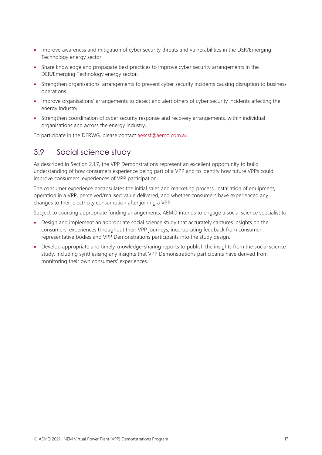- Improve awareness and mitigation of cyber security threats and vulnerabilities in the DER/Emerging Technology energy sector.
- Share knowledge and propagate best practices to improve cyber security arrangements in the DER/Emerging Technology energy sector.
- Strengthen organisations' arrangements to prevent cyber security incidents causing disruption to business operations.
- Improve organisations' arrangements to detect and alert others of cyber security incidents affecting the energy industry.
- Strengthen coordination of cyber security response and recovery arrangements, within individual organisations and across the energy industry.

To participate in the DERWG, please contact **aescsf@aemo.com.au.** 

### <span id="page-16-0"></span>3.9 Social science study

As described in Sectio[n 2.1.7,](#page-10-0) the VPP Demonstrations represent an excellent opportunity to build understanding of how consumers experience being part of a VPP and to identify how future VPPs could improve consumers' experiences of VPP participation.

The consumer experience encapsulates the initial sales and marketing process, installation of equipment, operation in a VPP, perceived/realised value delivered, and whether consumers have experienced any changes to their electricity consumption after joining a VPP.

Subject to sourcing appropriate funding arrangements, AEMO intends to engage a social science specialist to:

- Design and implement an appropriate social science study that accurately captures insights on the consumers' experiences throughout their VPP journeys, incorporating feedback from consumer representative bodies and VPP Demonstrations participants into the study design.
- Develop appropriate and timely knowledge-sharing reports to publish the insights from the social science study, including synthesising any insights that VPP Demonstrations participants have derived from monitoring their own consumers' experiences.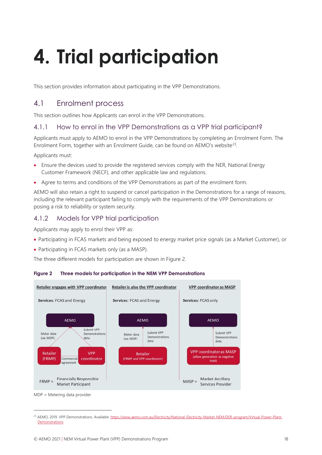# <span id="page-17-0"></span>**4. Trial participation**

This section provides information about participating in the VPP Demonstrations.

### <span id="page-17-1"></span>4.1 Enrolment process

This section outlines how Applicants can enrol in the VPP Demonstrations.

#### 4.1.1 How to enrol in the VPP Demonstrations as a VPP trial participant?

Applicants must apply to AEMO to enrol in the VPP Demonstrations by completing an Enrolment Form. The Enrolment Form, together with an Enrolment Guide, can be found on AEMO's website<sup>23</sup>.

Applicants must:

- Ensure the devices used to provide the registered services comply with the NER, National Energy Customer Framework (NECF), and other applicable law and regulations.
- Agree to terms and conditions of the VPP Demonstrations as part of the enrolment form.

AEMO will also retain a right to suspend or cancel participation in the Demonstrations for a range of reasons, including the relevant participant failing to comply with the requirements of the VPP Demonstrations or posing a risk to reliability or system security.

#### 4.1.2 Models for VPP trial participation

Applicants may apply to enrol their VPP as:

- Participating in FCAS markets and being exposed to energy market price signals (as a Market Customer), or
- Participating in FCAS markets only (as a MASP).

The three different models for participation are shown in Figure 2.





MDP = Metering data provider

<sup>&</sup>lt;sup>23</sup> AEMO, 2019. VPP Demonstrations. Available[: https://www.aemo.com.au/Electricity/National-Electricity-Market-NEM/DER-program/Virtual-Power-Plant-](https://www.aemo.com.au/Electricity/National-Electricity-Market-NEM/DER-program/Virtual-Power-Plant-Demonstrations)[Demonstrations.](https://www.aemo.com.au/Electricity/National-Electricity-Market-NEM/DER-program/Virtual-Power-Plant-Demonstrations)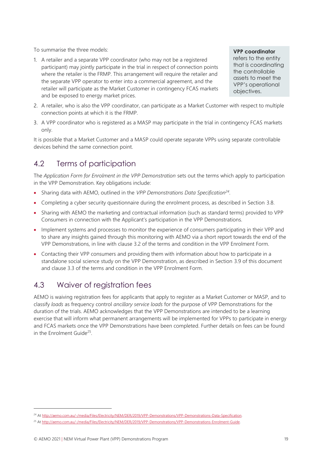To summarise the three models:

1. A retailer and a separate VPP coordinator (who may not be a registered participant) may jointly participate in the trial in respect of connection points where the retailer is the FRMP. This arrangement will require the retailer and the separate VPP operator to enter into a commercial agreement, and the retailer will participate as the Market Customer in contingency FCAS markets and be exposed to energy market prices.

**VPP coordinator** refers to the entity that is coordinating the controllable assets to meet the VPP's operational objectives.

- 2. A retailer, who is also the VPP coordinator, can participate as a Market Customer with respect to multiple connection points at which it is the FRMP.
- 3. A VPP coordinator who is registered as a MASP may participate in the trial in contingency FCAS markets only.

It is possible that a Market Customer and a MASP could operate separate VPPs using separate controllable devices behind the same connection point.

# <span id="page-18-0"></span>4.2 Terms of participation

The *Application Form for Enrolment in the VPP Demonstration* sets out the terms which apply to participation in the VPP Demonstration. Key obligations include:

- Sharing data with AEMO, outlined in the *VPP Demonstrations Data Specification<sup>24</sup>* .
- Completing a cyber security questionnaire during the enrolment process, as described in Section [3.8.](#page-15-1)
- Sharing with AEMO the marketing and contractual information (such as standard terms) provided to VPP Consumers in connection with the Applicant's participation in the VPP Demonstrations.
- Implement systems and processes to monitor the experience of consumers participating in their VPP and to share any insights gained through this monitoring with AEMO via a short report towards the end of the VPP Demonstrations, in line with clause 3.2 of the terms and condition in the VPP Enrolment Form.
- Contacting their VPP consumers and providing them with information about how to participate in a standalone social science study on the VPP Demonstration, as described in Section [3.9](#page-16-0) of this document and clause 3.3 of the terms and condition in the VPP Enrolment Form.

# <span id="page-18-1"></span>4.3 Waiver of registration fees

AEMO is waiving registration fees for applicants that apply to register as a Market Customer or MASP, and to classify *loads* as frequency control *ancillary service loads* for the purpose of VPP Demonstrations for the duration of the trials. AEMO acknowledges that the VPP Demonstrations are intended to be a learning exercise that will inform what permanent arrangements will be implemented for VPPs to participate in energy and FCAS markets once the VPP Demonstrations have been completed. Further details on fees can be found in the Enrolment Guide<sup>25</sup>.

<sup>24</sup> A[t http://aemo.com.au/-/media/Files/Electricity/NEM/DER/2019/VPP-Demonstrations/VPP-Demonstrations-Data-Specification.](http://aemo.com.au/-/media/Files/Electricity/NEM/DER/2019/VPP-Demonstrations/VPP-Demonstrations-Data-Specification)

<sup>25</sup> A[t http://aemo.com.au/-/media/Files/Electricity/NEM/DER/2019/VPP-Demonstrations/VPP-Demonstrations-Enrolment-Guide.](http://aemo.com.au/-/media/Files/Electricity/NEM/DER/2019/VPP-Demonstrations/VPP-Demonstrations-Enrolment-Guide)